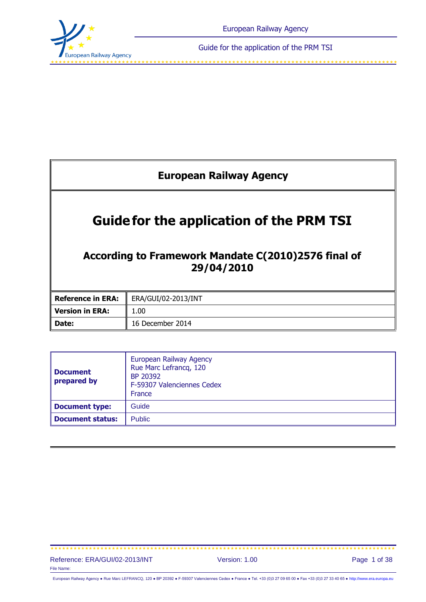

<span id="page-0-0"></span>

| <b>European Railway Agency</b>                                                                                       |                     |  |  |
|----------------------------------------------------------------------------------------------------------------------|---------------------|--|--|
| <b>Guide for the application of the PRM TSI</b><br>According to Framework Mandate C(2010)2576 final of<br>29/04/2010 |                     |  |  |
| <b>Reference in ERA:</b>                                                                                             | ERA/GUI/02-2013/INT |  |  |
| <b>Version in ERA:</b>                                                                                               | 1.00                |  |  |
| Date:                                                                                                                | 16 December 2014    |  |  |

| Document<br>prepared by | European Railway Agency<br>Rue Marc Lefrancq, 120<br>BP 20392<br>F-59307 Valenciennes Cedex<br>France |
|-------------------------|-------------------------------------------------------------------------------------------------------|
| Document type:          | Guide                                                                                                 |
| Document status:        | <b>Public</b>                                                                                         |

#### Reference: ERA/GUI/02-2013/INT Version: 1.00 Page 1 of 38 File Name:

European Railway Agency ● Rue Marc LEFRANCQ, 120 ● BP 20392 ● F-59307 Valenciennes Cedex ● France ● Tel. +33 (0)3 27 09 65 00 ● Fax +33 (0)3 27 33 40 65 ● [http://www.era.europa.eu](http://www.era.europa.eu/)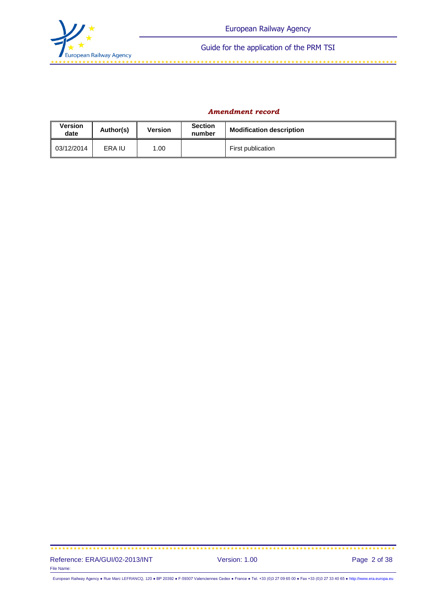

#### *Amendment record*

| <b>Version</b><br>date | Author(s) | <b>Version</b> | <b>Section</b><br>number | <b>Modification description</b> |  |
|------------------------|-----------|----------------|--------------------------|---------------------------------|--|
| $\parallel$ 03/12/2014 | ERA IU    | .00            |                          | First publication               |  |

#### Reference: ERA/GUI/02-2013/INT Version: 1.00 Page 2 of 38 File Name:

European Railway Agency ● Rue Marc LEFRANCQ, 120 ● BP 20392 ● F-59307 Valenciennes Cedex ● France ● Tel. +33 (0)3 27 09 65 00 ● Fax +33 (0)3 27 33 40 65 ● [http://www.era.europa.eu](http://www.era.europa.eu/)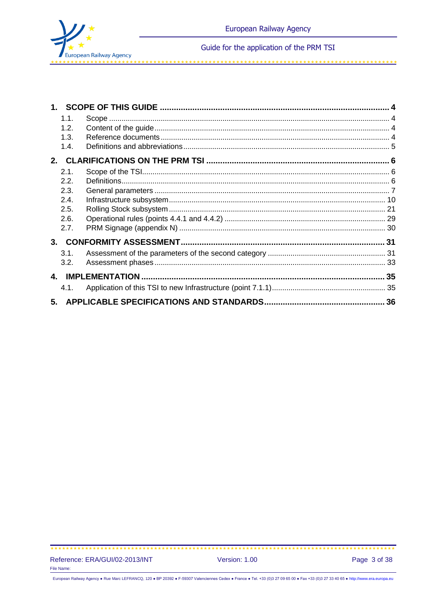

| 1.1. |                    |  |
|------|--------------------|--|
| 1.2. |                    |  |
| 1.3. |                    |  |
| 1.4. |                    |  |
|      |                    |  |
| 2.1. |                    |  |
| 2.2. |                    |  |
| 2.3. |                    |  |
| 2.4. |                    |  |
| 2.5. |                    |  |
| 2.6. |                    |  |
| 2.7. |                    |  |
|      |                    |  |
| 3.1. |                    |  |
| 3.2. |                    |  |
|      | 4. IMPLEMENTATION. |  |
| 4.1. |                    |  |
|      |                    |  |

فالمنابط لقائك للنابط القائك للد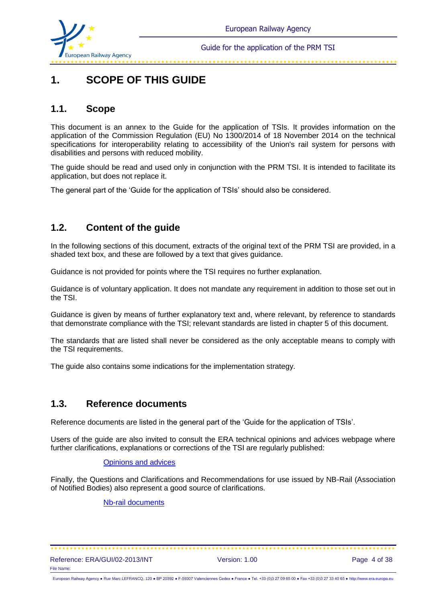

# **1. SCOPE OF THIS GUIDE**

## **1.1. Scope**

This document is an annex to the Guide for the application of TSIs. It provides information on the application of the Commission Regulation (EU) No 1300/2014 of 18 November 2014 on the technical specifications for interoperability relating to accessibility of the Union's rail system for persons with disabilities and persons with reduced mobility.

The guide should be read and used only in conjunction with the PRM TSI. It is intended to facilitate its application, but does not replace it.

The general part of the 'Guide for the application of TSIs' should also be considered.

## **1.2. Content of the guide**

In the following sections of this document, extracts of the original text of the PRM TSI are provided, in a shaded text box, and these are followed by a text that gives guidance.

Guidance is not provided for points where the TSI requires no further explanation.

Guidance is of voluntary application. It does not mandate any requirement in addition to those set out in the TSI.

Guidance is given by means of further explanatory text and, where relevant, by reference to standards that demonstrate compliance with the TSI; relevant standards are listed in chapter 5 of this document.

The standards that are listed shall never be considered as the only acceptable means to comply with the TSI requirements.

The guide also contains some indications for the implementation strategy.

### **1.3. Reference documents**

Reference documents are listed in the general part of the 'Guide for the application of TSIs'.

Users of the guide are also invited to consult the ERA technical opinions and advices webpage where further clarifications, explanations or corrections of the TSI are regularly published:

#### [Opinions and advices](http://www.era.europa.eu/Core-Activities/OPI-ADV/Pages/default.aspx)

Finally, the Questions and Clarifications and Recommendations for use issued by NB-Rail (Association of Notified Bodies) also represent a good source of clarifications.

#### [Nb-rail documents](http://www.nb-rail.eu/documents/documents_en.html)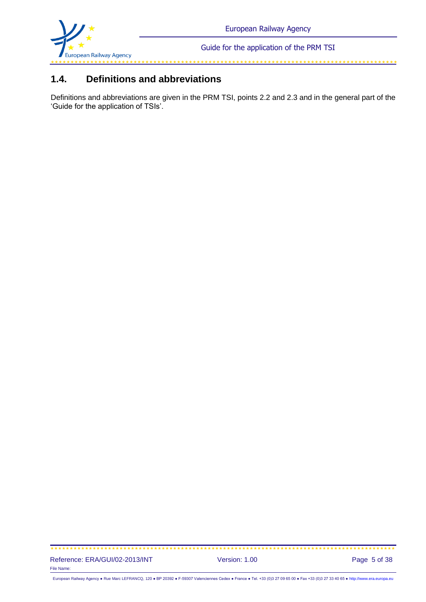

## **1.4. Definitions and abbreviations**

Definitions and abbreviations are given in the PRM TSI, points 2.2 and 2.3 and in the general part of the 'Guide for the application of TSIs'.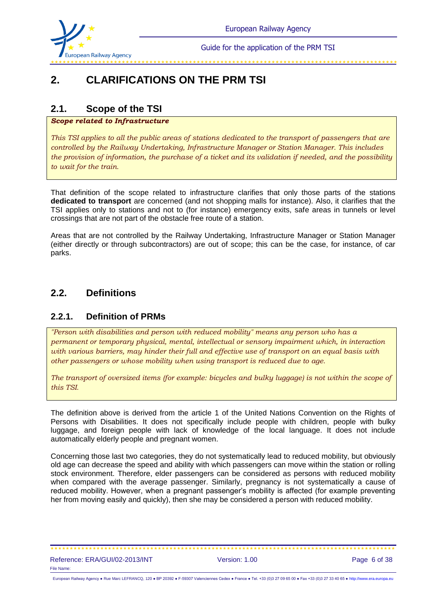

# **2. CLARIFICATIONS ON THE PRM TSI**

## **2.1. Scope of the TSI**

### *Scope related to Infrastructure*

*This TSI applies to all the public areas of stations dedicated to the transport of passengers that are controlled by the Railway Undertaking, Infrastructure Manager or Station Manager. This includes the provision of information, the purchase of a ticket and its validation if needed, and the possibility to wait for the train.* 

That definition of the scope related to infrastructure clarifies that only those parts of the stations **dedicated to transport** are concerned (and not shopping malls for instance). Also, it clarifies that the TSI applies only to stations and not to (for instance) emergency exits, safe areas in tunnels or level crossings that are not part of the obstacle free route of a station.

Areas that are not controlled by the Railway Undertaking, Infrastructure Manager or Station Manager (either directly or through subcontractors) are out of scope; this can be the case, for instance, of car parks.

## **2.2. Definitions**

## **2.2.1. Definition of PRMs**

*"Person with disabilities and person with reduced mobility" means any person who has a permanent or temporary physical, mental, intellectual or sensory impairment which, in interaction with various barriers, may hinder their full and effective use of transport on an equal basis with other passengers or whose mobility when using transport is reduced due to age.*

*The transport of oversized items (for example: bicycles and bulky luggage) is not within the scope of this TSI.*

The definition above is derived from the article 1 of the United Nations Convention on the Rights of Persons with Disabilities. It does not specifically include people with children, people with bulky luggage, and foreign people with lack of knowledge of the local language. It does not include automatically elderly people and pregnant women.

Concerning those last two categories, they do not systematically lead to reduced mobility, but obviously old age can decrease the speed and ability with which passengers can move within the station or rolling stock environment. Therefore, elder passengers can be considered as persons with reduced mobility when compared with the average passenger. Similarly, pregnancy is not systematically a cause of reduced mobility. However, when a pregnant passenger's mobility is affected (for example preventing her from moving easily and quickly), then she may be considered a person with reduced mobility.

#### Reference: ERA/GUI/02-2013/INT Version: 1.00 Page 6 of 38 File Name: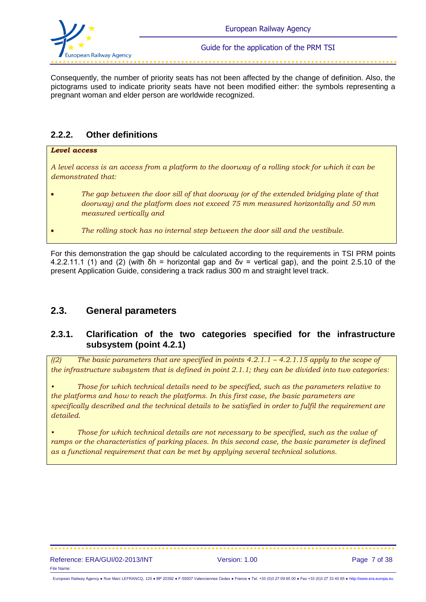

Consequently, the number of priority seats has not been affected by the change of definition. Also, the pictograms used to indicate priority seats have not been modified either: the symbols representing a pregnant woman and elder person are worldwide recognized.

### **2.2.2. Other definitions**

#### *Level access*

*A level access is an access from a platform to the doorway of a rolling stock for which it can be demonstrated that:*

- *The gap between the door sill of that doorway (or of the extended bridging plate of that doorway) and the platform does not exceed 75 mm measured horizontally and 50 mm measured vertically and*
- *The rolling stock has no internal step between the door sill and the vestibule.*

For this demonstration the gap should be calculated according to the requirements in TSI PRM points 4.2.2.11.1 (1) and (2) (with  $\delta h$  = horizontal gap and  $\delta v$  = vertical gap), and the point 2.5.10 of the present Application Guide, considering a track radius 300 m and straight level track.

### **2.3. General parameters**

### **2.3.1. Clarification of the two categories specified for the infrastructure subsystem (point 4.2.1)**

*((2) The basic parameters that are specified in points 4.2.1.1 – 4.2.1.15 apply to the scope of the infrastructure subsystem that is defined in point 2.1.1; they can be divided into two categories:* 

*• Those for which technical details need to be specified, such as the parameters relative to the platforms and how to reach the platforms. In this first case, the basic parameters are specifically described and the technical details to be satisfied in order to fulfil the requirement are detailed.*

*• Those for which technical details are not necessary to be specified, such as the value of ramps or the characteristics of parking places. In this second case, the basic parameter is defined as a functional requirement that can be met by applying several technical solutions.*

European Railway Agency ● Rue Marc LEFRANCQ, 120 ● BP 20392 ● F-59307 Valenciennes Cedex ● France ● Tel. +33 (0)3 27 09 65 00 ● Fax +33 (0)3 27 33 40 65 ● [http://www.era.europa.eu](http://www.era.europa.eu/)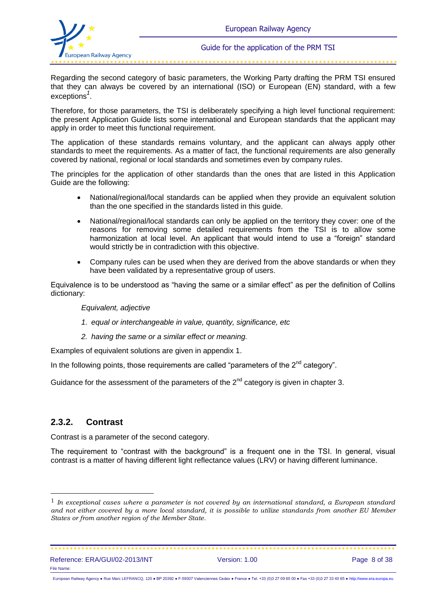

Regarding the second category of basic parameters, the Working Party drafting the PRM TSI ensured that they can always be covered by an international (ISO) or European (EN) standard, with a few exceptions*<sup>1</sup>* .

Therefore, for those parameters, the TSI is deliberately specifying a high level functional requirement: the present Application Guide lists some international and European standards that the applicant may apply in order to meet this functional requirement.

The application of these standards remains voluntary, and the applicant can always apply other standards to meet the requirements. As a matter of fact, the functional requirements are also generally covered by national, regional or local standards and sometimes even by company rules.

The principles for the application of other standards than the ones that are listed in this Application Guide are the following:

- National/regional/local standards can be applied when they provide an equivalent solution than the one specified in the standards listed in this guide.
- National/regional/local standards can only be applied on the territory they cover: one of the reasons for removing some detailed requirements from the TSI is to allow some harmonization at local level. An applicant that would intend to use a "foreign" standard would strictly be in contradiction with this objective.
- Company rules can be used when they are derived from the above standards or when they have been validated by a representative group of users.

Equivalence is to be understood as "having the same or a similar effect" as per the definition of Collins dictionary:

*Equivalent, adjective*

- *1. equal or interchangeable in value, quantity, significance, etc*
- *2. having the same or a similar effect or meaning.*

Examples of equivalent solutions are given in appendix 1.

In the following points, those requirements are called "parameters of the  $2<sup>nd</sup>$  category".

Guidance for the assessment of the parameters of the  $2^{nd}$  category is given in chapter 3.

### **2.3.2. Contrast**

l

Contrast is a parameter of the second category.

The requirement to "contrast with the background" is a frequent one in the TSI. In general, visual contrast is a matter of having different light reflectance values (LRV) or having different luminance.

<sup>1</sup> *In exceptional cases where a parameter is not covered by an international standard, a European standard and not either covered by a more local standard, it is possible to utilize standards from another EU Member States or from another region of the Member State.*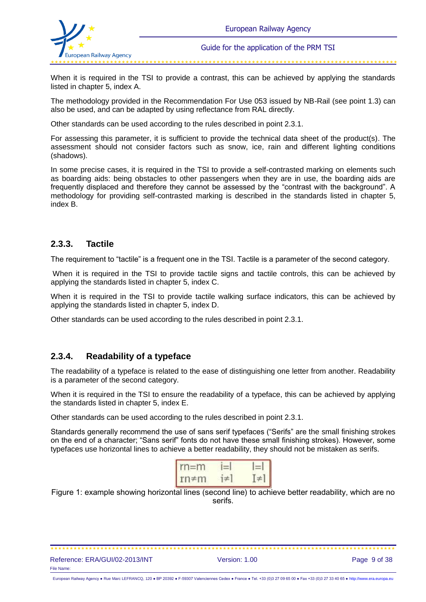

فاستقل فاستقل فاستقل فاستقل فاستقل فاستقل فاستقل فاستقل فاستقل فاستقل فاستقل فاستقلت فاستقل فاستقل فاستقل فاستقل

When it is required in the TSI to provide a contrast, this can be achieved by applying the standards listed in chapter 5, index A.

The methodology provided in the Recommendation For Use 053 issued by NB-Rail (see point 1.3) can also be used, and can be adapted by using reflectance from RAL directly.

Other standards can be used according to the rules described in point 2.3.1.

For assessing this parameter, it is sufficient to provide the technical data sheet of the product(s). The assessment should not consider factors such as snow, ice, rain and different lighting conditions (shadows).

In some precise cases, it is required in the TSI to provide a self-contrasted marking on elements such as boarding aids: being obstacles to other passengers when they are in use, the boarding aids are frequently displaced and therefore they cannot be assessed by the "contrast with the background". A methodology for providing self-contrasted marking is described in the standards listed in chapter 5, index B.

### **2.3.3. Tactile**

The requirement to "tactile" is a frequent one in the TSI. Tactile is a parameter of the second category.

When it is required in the TSI to provide tactile signs and tactile controls, this can be achieved by applying the standards listed in chapter 5, index C.

When it is required in the TSI to provide tactile walking surface indicators, this can be achieved by applying the standards listed in chapter 5, index D.

Other standards can be used according to the rules described in point 2.3.1.

### **2.3.4. Readability of a typeface**

The readability of a typeface is related to the ease of distinguishing one letter from another. Readability is a parameter of the second category.

When it is required in the TSI to ensure the readability of a typeface, this can be achieved by applying the standards listed in chapter 5, index E.

Other standards can be used according to the rules described in point 2.3.1.

Standards generally recommend the use of sans serif typefaces ("Serifs" are the small finishing strokes on the end of a character; "Sans serif" fonts do not have these small finishing strokes). However, some typefaces use horizontal lines to achieve a better readability, they should not be mistaken as serifs.

| $rm=m$                |  |
|-----------------------|--|
| $rm\Leftrightarrow$ m |  |

Figure 1: example showing horizontal lines (second line) to achieve better readability, which are no serifs.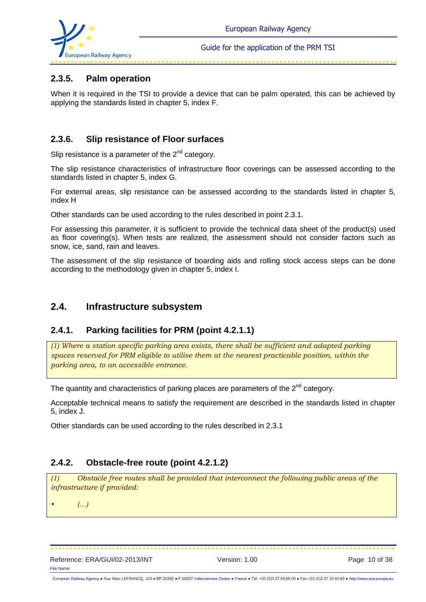

#### 

### **2.3.5. Palm operation**

When it is required in the TSI to provide a device that can be palm operated, this can be achieved by applying the standards listed in chapter 5, index F.

### **2.3.6. Slip resistance of Floor surfaces**

Slip resistance is a parameter of the  $2<sup>nd</sup>$  category.

The slip resistance characteristics of infrastructure floor coverings can be assessed according to the standards listed in chapter 5, index G.

For external areas, slip resistance can be assessed according to the standards listed in chapter 5, index H

Other standards can be used according to the rules described in point 2.3.1.

For assessing this parameter, it is sufficient to provide the technical data sheet of the product(s) used as floor covering(s). When tests are realized, the assessment should not consider factors such as snow, ice, sand, rain and leaves.

The assessment of the slip resistance of boarding aids and rolling stock access steps can be done according to the methodology given in chapter 5, index I.

### **2.4. Infrastructure subsystem**

### **2.4.1. Parking facilities for PRM (point 4.2.1.1)**

*(1) Where a station specific parking area exists, there shall be sufficient and adapted parking spaces reserved for PRM eligible to utilise them at the nearest practicable position, within the parking area, to an accessible entrance.*

The quantity and characteristics of parking places are parameters of the  $2<sup>nd</sup>$  category.

Acceptable technical means to satisfy the requirement are described in the standards listed in chapter 5, index J.

Other standards can be used according to the rules described in 2.3.1

### **2.4.2. Obstacle-free route (point 4.2.1.2)**

*(1) Obstacle free routes shall be provided that interconnect the following public areas of the infrastructure if provided:*

*• (…)*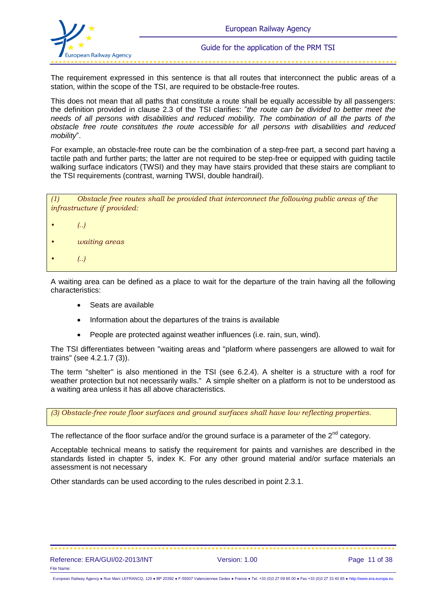

The requirement expressed in this sentence is that all routes that interconnect the public areas of a station, within the scope of the TSI, are required to be obstacle-free routes.

This does not mean that all paths that constitute a route shall be equally accessible by all passengers: the definition provided in clause 2.3 of the TSI clarifies: "*the route can be divided to better meet the needs of all persons with disabilities and reduced mobility. The combination of all the parts of the obstacle free route constitutes the route accessible for all persons with disabilities and reduced mobility*".

For example, an obstacle-free route can be the combination of a step-free part, a second part having a tactile path and further parts; the latter are not required to be step-free or equipped with guiding tactile walking surface indicators (TWSI) and they may have stairs provided that these stairs are compliant to the TSI requirements (contrast, warning TWSI, double handrail).

*(1) Obstacle free routes shall be provided that interconnect the following public areas of the infrastructure if provided:*

- *• (..)*
- *• waiting areas*
- *• (..)*

A waiting area can be defined as a place to wait for the departure of the train having all the following characteristics:

- Seats are available
- Information about the departures of the trains is available
- People are protected against weather influences (i.e. rain, sun, wind).

The TSI differentiates between "waiting areas and "platform where passengers are allowed to wait for trains" (see 4.2.1.7 (3)).

The term "shelter" is also mentioned in the TSI (see 6.2.4). A shelter is a structure with a roof for weather protection but not necessarily walls." A simple shelter on a platform is not to be understood as a waiting area unless it has all above characteristics.

*(3) Obstacle-free route floor surfaces and ground surfaces shall have low reflecting properties.*

The reflectance of the floor surface and/or the ground surface is a parameter of the  $2^{nd}$  category.

Acceptable technical means to satisfy the requirement for paints and varnishes are described in the standards listed in chapter 5, index K. For any other ground material and/or surface materials an assessment is not necessary

Other standards can be used according to the rules described in point 2.3.1.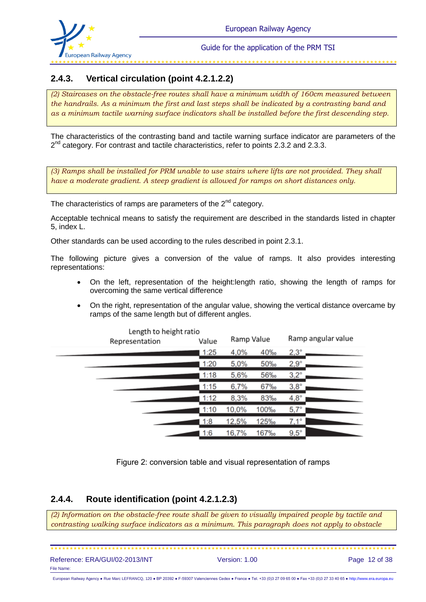

## **2.4.3. Vertical circulation (point 4.2.1.2.2)**

*(2) Staircases on the obstacle-free routes shall have a minimum width of 160cm measured between the handrails. As a minimum the first and last steps shall be indicated by a contrasting band and as a minimum tactile warning surface indicators shall be installed before the first descending step.*

The characteristics of the contrasting band and tactile warning surface indicator are parameters of the 2<sup>nd</sup> category. For contrast and tactile characteristics, refer to points 2.3.2 and 2.3.3.

*(3) Ramps shall be installed for PRM unable to use stairs where lifts are not provided. They shall have a moderate gradient. A steep gradient is allowed for ramps on short distances only.*

The characteristics of ramps are parameters of the  $2<sup>nd</sup>$  category.

Acceptable technical means to satisfy the requirement are described in the standards listed in chapter 5, index L.

Other standards can be used according to the rules described in point 2.3.1.

The following picture gives a conversion of the value of ramps. It also provides interesting representations:

- On the left, representation of the height:length ratio, showing the length of ramps for overcoming the same vertical difference
- On the right, representation of the angular value, showing the vertical distance overcame by ramps of the same length but of different angles.

| Length to height ratio<br>Representation | Value | Ramp Value |      | Ramp angular value |
|------------------------------------------|-------|------------|------|--------------------|
|                                          | 1:25  | 4,0%       | 40%  | $2,3^{\circ}$      |
|                                          | 1:20  | 5,0%       | 50%  | $2,9^{\circ}$      |
|                                          | 1:18  | 5,6%       | 56‰  | $3,2^\circ$        |
|                                          | 1:15  | 6,7%       | 67‰  | $3,8^\circ$        |
|                                          | 1:12  | 8,3%       | 83%  | $4,8^\circ$        |
|                                          | 1:10  | 10,0%      | 100‰ | $5,7^\circ$        |
|                                          | 1:8   | 12,5%      | 125‰ | $7,1^{\circ}$      |
|                                          | 1:6   | 16,7%      | 167‰ | $9,5^{\circ}$      |

Figure 2: conversion table and visual representation of ramps

### **2.4.4. Route identification (point 4.2.1.2.3)**

*(2) Information on the obstacle-free route shall be given to visually impaired people by tactile and contrasting walking surface indicators as a minimum. This paragraph does not apply to obstacle* 

 Reference: ERA/GUI/02-2013/INT Version: 1.00 Page 12 of 38 File Name:

European Railway Agency ● Rue Marc LEFRANCQ, 120 ● BP 20392 ● F-59307 Valenciennes Cedex ● France ● Tel. +33 (0)3 27 09 65 00 ● Fax +33 (0)3 27 33 40 65 ● [http://www.era.europa.eu](http://www.era.europa.eu/)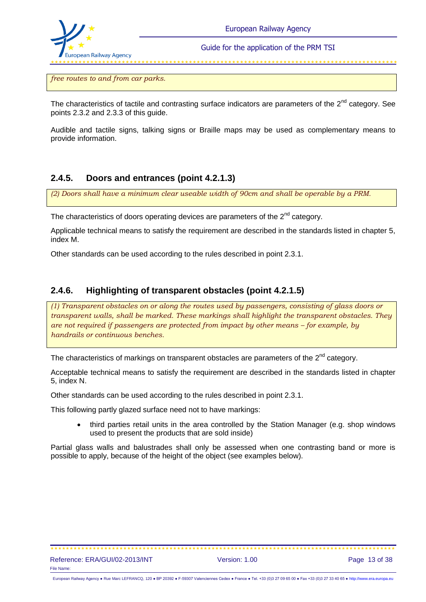

*free routes to and from car parks.*

The characteristics of tactile and contrasting surface indicators are parameters of the  $2^{nd}$  category. See points 2.3.2 and 2.3.3 of this guide.

Audible and tactile signs, talking signs or Braille maps may be used as complementary means to provide information.

### **2.4.5. Doors and entrances (point 4.2.1.3)**

*(2) Doors shall have a minimum clear useable width of 90cm and shall be operable by a PRM.*

The characteristics of doors operating devices are parameters of the  $2^{nd}$  category.

Applicable technical means to satisfy the requirement are described in the standards listed in chapter 5, index M.

Other standards can be used according to the rules described in point 2.3.1.

### **2.4.6. Highlighting of transparent obstacles (point 4.2.1.5)**

*(1) Transparent obstacles on or along the routes used by passengers, consisting of glass doors or transparent walls, shall be marked. These markings shall highlight the transparent obstacles. They are not required if passengers are protected from impact by other means – for example, by handrails or continuous benches.*

The characteristics of markings on transparent obstacles are parameters of the  $2^{nd}$  category.

Acceptable technical means to satisfy the requirement are described in the standards listed in chapter 5, index N.

Other standards can be used according to the rules described in point 2.3.1.

This following partly glazed surface need not to have markings:

• third parties retail units in the area controlled by the Station Manager (e.g. shop windows used to present the products that are sold inside)

Partial glass walls and balustrades shall only be assessed when one contrasting band or more is possible to apply, because of the height of the object (see examples below).

European Railway Agency ● Rue Marc LEFRANCQ, 120 ● BP 20392 ● F-59307 Valenciennes Cedex ● France ● Tel. +33 (0)3 27 09 65 00 ● Fax +33 (0)3 27 33 40 65 ● [http://www.era.europa.eu](http://www.era.europa.eu/)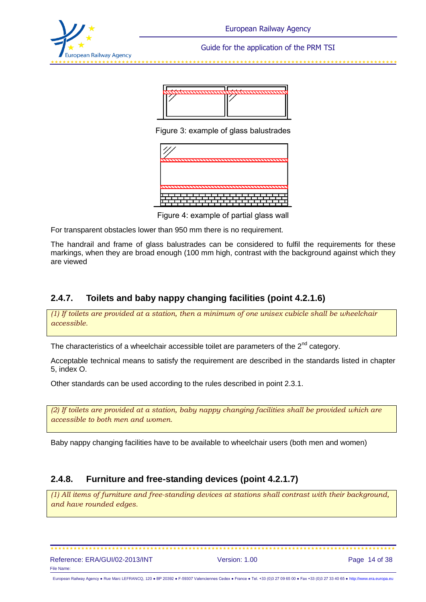



Figure 3: example of glass balustrades



Figure 4: example of partial glass wall

For transparent obstacles lower than 950 mm there is no requirement.

The handrail and frame of glass balustrades can be considered to fulfil the requirements for these markings, when they are broad enough (100 mm high, contrast with the background against which they are viewed

### **2.4.7. Toilets and baby nappy changing facilities (point 4.2.1.6)**

*(1) If toilets are provided at a station, then a minimum of one unisex cubicle shall be wheelchair accessible.*

The characteristics of a wheelchair accessible toilet are parameters of the  $2<sup>nd</sup>$  category.

Acceptable technical means to satisfy the requirement are described in the standards listed in chapter 5, index O.

Other standards can be used according to the rules described in point 2.3.1.

*(2) If toilets are provided at a station, baby nappy changing facilities shall be provided which are accessible to both men and women.*

Baby nappy changing facilities have to be available to wheelchair users (both men and women)

### **2.4.8. Furniture and free-standing devices (point 4.2.1.7)**

*(1) All items of furniture and free-standing devices at stations shall contrast with their background, and have rounded edges.*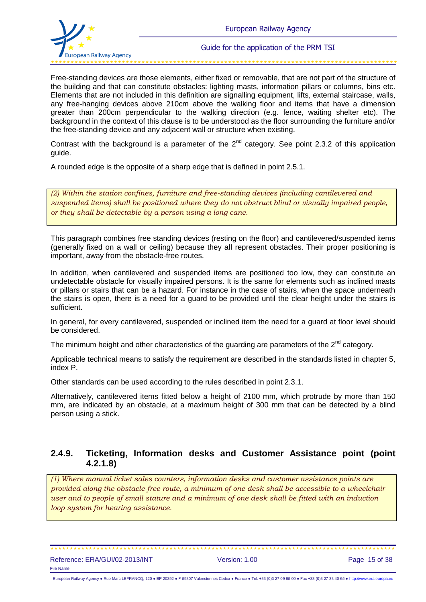Free-standing devices are those elements, either fixed or removable, that are not part of the structure of the building and that can constitute obstacles: lighting masts, information pillars or columns, bins etc. Elements that are not included in this definition are signalling equipment, lifts, external staircase, walls, any free-hanging devices above 210cm above the walking floor and items that have a dimension greater than 200cm perpendicular to the walking direction (e.g. fence, waiting shelter etc). The background in the context of this clause is to be understood as the floor surrounding the furniture and/or the free-standing device and any adjacent wall or structure when existing.

Contrast with the background is a parameter of the  $2^{nd}$  category. See point 2.3.2 of this application guide.

A rounded edge is the opposite of a sharp edge that is defined in point 2.5.1.

*(2) Within the station confines, furniture and free-standing devices (including cantilevered and suspended items) shall be positioned where they do not obstruct blind or visually impaired people, or they shall be detectable by a person using a long cane.*

This paragraph combines free standing devices (resting on the floor) and cantilevered/suspended items (generally fixed on a wall or ceiling) because they all represent obstacles. Their proper positioning is important, away from the obstacle-free routes.

In addition, when cantilevered and suspended items are positioned too low, they can constitute an undetectable obstacle for visually impaired persons. It is the same for elements such as inclined masts or pillars or stairs that can be a hazard. For instance in the case of stairs, when the space underneath the stairs is open, there is a need for a guard to be provided until the clear height under the stairs is sufficient.

In general, for every cantilevered, suspended or inclined item the need for a guard at floor level should be considered.

The minimum height and other characteristics of the guarding are parameters of the  $2<sup>nd</sup>$  category.

Applicable technical means to satisfy the requirement are described in the standards listed in chapter 5, index P.

Other standards can be used according to the rules described in point 2.3.1.

Alternatively, cantilevered items fitted below a height of 2100 mm, which protrude by more than 150 mm, are indicated by an obstacle, at a maximum height of 300 mm that can be detected by a blind person using a stick.

### **2.4.9. Ticketing, Information desks and Customer Assistance point (point 4.2.1.8)**

*(1) Where manual ticket sales counters, information desks and customer assistance points are provided along the obstacle-free route, a minimum of one desk shall be accessible to a wheelchair user and to people of small stature and a minimum of one desk shall be fitted with an induction loop system for hearing assistance.*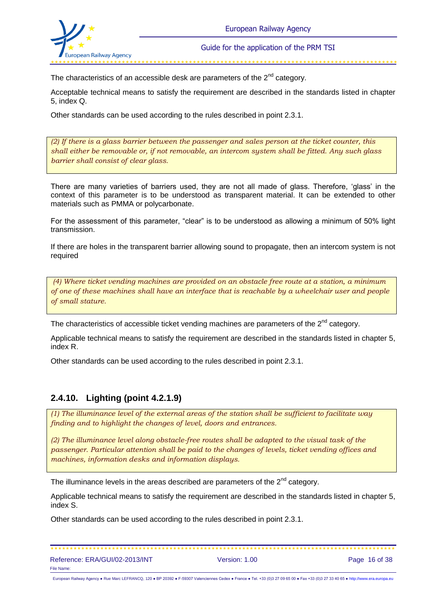

والمستحقق والمتوافق والمتوافق والمتوافق والمتوافق والمتوافق والمتوافق والمتوافق

The characteristics of an accessible desk are parameters of the  $2<sup>nd</sup>$  category.

Acceptable technical means to satisfy the requirement are described in the standards listed in chapter 5, index Q.

Other standards can be used according to the rules described in point 2.3.1.

*(2) If there is a glass barrier between the passenger and sales person at the ticket counter, this shall either be removable or, if not removable, an intercom system shall be fitted. Any such glass barrier shall consist of clear glass.*

There are many varieties of barriers used, they are not all made of glass. Therefore, 'glass' in the context of this parameter is to be understood as transparent material. It can be extended to other materials such as PMMA or polycarbonate.

For the assessment of this parameter, "clear" is to be understood as allowing a minimum of 50% light transmission.

If there are holes in the transparent barrier allowing sound to propagate, then an intercom system is not required

*(4) Where ticket vending machines are provided on an obstacle free route at a station, a minimum of one of these machines shall have an interface that is reachable by a wheelchair user and people of small stature.*

The characteristics of accessible ticket vending machines are parameters of the  $2^{nd}$  category.

Applicable technical means to satisfy the requirement are described in the standards listed in chapter 5, index R.

Other standards can be used according to the rules described in point 2.3.1.

### **2.4.10. Lighting (point 4.2.1.9)**

*(1) The illuminance level of the external areas of the station shall be sufficient to facilitate way finding and to highlight the changes of level, doors and entrances.*

*(2) The illuminance level along obstacle-free routes shall be adapted to the visual task of the passenger. Particular attention shall be paid to the changes of levels, ticket vending offices and machines, information desks and information displays.*

The illuminance levels in the areas described are parameters of the  $2^{nd}$  category.

Applicable technical means to satisfy the requirement are described in the standards listed in chapter 5, index S.

Other standards can be used according to the rules described in point 2.3.1.

| Reference: ERA/GUI/02-2013/INT | Version: 1.00 | Page 16 of 38 |
|--------------------------------|---------------|---------------|
| File Name:                     |               |               |

European Railway Agency ● Rue Marc LEFRANCQ, 120 ● BP 20392 ● F-59307 Valenciennes Cedex ● France ● Tel. +33 (0)3 27 09 65 00 ● Fax +33 (0)3 27 33 40 65 ● [http://www.era.europa.eu](http://www.era.europa.eu/)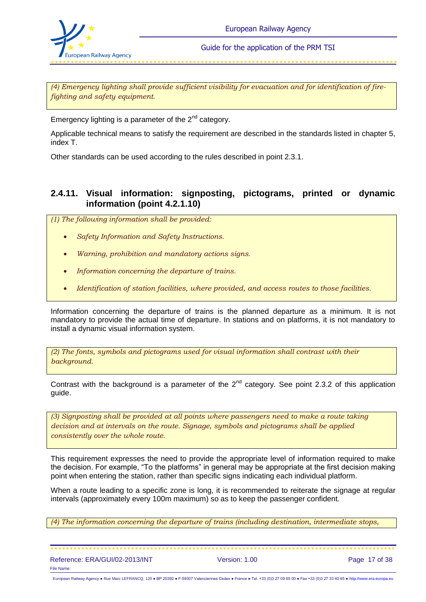

*(4) Emergency lighting shall provide sufficient visibility for evacuation and for identification of firefighting and safety equipment.*

Emergency lighting is a parameter of the  $2^{nd}$  category.

Applicable technical means to satisfy the requirement are described in the standards listed in chapter 5, index T.

Other standards can be used according to the rules described in point 2.3.1.

### **2.4.11. Visual information: signposting, pictograms, printed or dynamic information (point 4.2.1.10)**

*(1) The following information shall be provided:*

- *Safety Information and Safety Instructions.*
- *Warning, prohibition and mandatory actions signs.*
- *Information concerning the departure of trains.*
- *Identification of station facilities, where provided, and access routes to those facilities.*

Information concerning the departure of trains is the planned departure as a minimum. It is not mandatory to provide the actual time of departure. In stations and on platforms, it is not mandatory to install a dynamic visual information system.

*(2) The fonts, symbols and pictograms used for visual information shall contrast with their background.*

Contrast with the background is a parameter of the  $2^{nd}$  category. See point 2.3.2 of this application guide.

*(3) Signposting shall be provided at all points where passengers need to make a route taking decision and at intervals on the route. Signage, symbols and pictograms shall be applied consistently over the whole route.*

This requirement expresses the need to provide the appropriate level of information required to make the decision. For example, "To the platforms" in general may be appropriate at the first decision making point when entering the station, rather than specific signs indicating each individual platform.

When a route leading to a specific zone is long, it is recommended to reiterate the signage at regular intervals (approximately every 100m maximum) so as to keep the passenger confident.

*(4) The information concerning the departure of trains (including destination, intermediate stops,*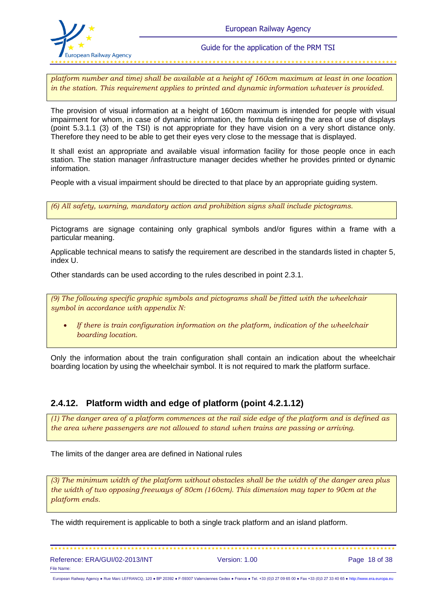

*platform number and time) shall be available at a height of 160cm maximum at least in one location in the station. This requirement applies to printed and dynamic information whatever is provided.*

The provision of visual information at a height of 160cm maximum is intended for people with visual impairment for whom, in case of dynamic information, the formula defining the area of use of displays (point 5.3.1.1 (3) of the TSI) is not appropriate for they have vision on a very short distance only. Therefore they need to be able to get their eyes very close to the message that is displayed.

It shall exist an appropriate and available visual information facility for those people once in each station. The station manager /infrastructure manager decides whether he provides printed or dynamic information.

People with a visual impairment should be directed to that place by an appropriate guiding system.

*(6) All safety, warning, mandatory action and prohibition signs shall include pictograms.*

Pictograms are signage containing only graphical symbols and/or figures within a frame with a particular meaning.

Applicable technical means to satisfy the requirement are described in the standards listed in chapter 5, index U.

Other standards can be used according to the rules described in point 2.3.1.

*(9) The following specific graphic symbols and pictograms shall be fitted with the wheelchair symbol in accordance with appendix N:*

 *If there is train configuration information on the platform, indication of the wheelchair boarding location.*

Only the information about the train configuration shall contain an indication about the wheelchair boarding location by using the wheelchair symbol. It is not required to mark the platform surface.

### **2.4.12. Platform width and edge of platform (point 4.2.1.12)**

*(1) The danger area of a platform commences at the rail side edge of the platform and is defined as the area where passengers are not allowed to stand when trains are passing or arriving.*

The limits of the danger area are defined in National rules

*(3) The minimum width of the platform without obstacles shall be the width of the danger area plus the width of two opposing freeways of 80cm (160cm). This dimension may taper to 90cm at the platform ends.*

The width requirement is applicable to both a single track platform and an island platform.

| Reference: ERA/GUI/02-2013/INT |  |
|--------------------------------|--|
| File Name:                     |  |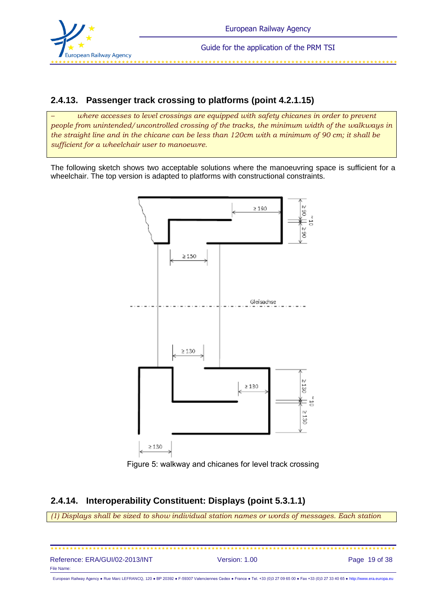

ی است که است که است که است که است که است که است که است که است که است که است که است که است که است که است که است

### **2.4.13. Passenger track crossing to platforms (point 4.2.1.15)**

*– where accesses to level crossings are equipped with safety chicanes in order to prevent people from unintended/uncontrolled crossing of the tracks, the minimum width of the walkways in the straight line and in the chicane can be less than 120cm with a minimum of 90 cm; it shall be sufficient for a wheelchair user to manoeuvre.*

The following sketch shows two acceptable solutions where the manoeuvring space is sufficient for a wheelchair. The top version is adapted to platforms with constructional constraints.



Figure 5: walkway and chicanes for level track crossing

## **2.4.14. Interoperability Constituent: Displays (point 5.3.1.1)**

*(1) Displays shall be sized to show individual station names or words of messages. Each station* 

| Reference: ERA/GUI/02-2013/INT                                                                                                                                                      | Version: 1.00 | Page 19 of 38 |
|-------------------------------------------------------------------------------------------------------------------------------------------------------------------------------------|---------------|---------------|
| File Name:                                                                                                                                                                          |               |               |
| European Railway Agency . Rue Marc LEFRANCQ, 120 . BP 20392 . F-59307 Valenciennes Cedex . France . Tel. +33 (0)3 27 09 65 00 . Fax +33 (0)3 27 33 40 65 . http://www.era.europa.eu |               |               |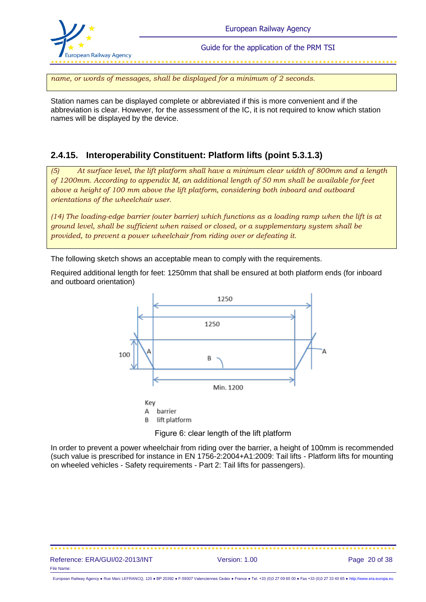

*name, or words of messages, shall be displayed for a minimum of 2 seconds.* 

Station names can be displayed complete or abbreviated if this is more convenient and if the abbreviation is clear. However, for the assessment of the IC, it is not required to know which station names will be displayed by the device.

## **2.4.15. Interoperability Constituent: Platform lifts (point 5.3.1.3)**

*(5) At surface level, the lift platform shall have a minimum clear width of 800mm and a length of 1200mm. According to appendix M, an additional length of 50 mm shall be available for feet above a height of 100 mm above the lift platform, considering both inboard and outboard orientations of the wheelchair user.* 

*(14) The loading-edge barrier (outer barrier) which functions as a loading ramp when the lift is at ground level, shall be sufficient when raised or closed, or a supplementary system shall be provided, to prevent a power wheelchair from riding over or defeating it.*

The following sketch shows an acceptable mean to comply with the requirements.

Required additional length for feet: 1250mm that shall be ensured at both platform ends (for inboard and outboard orientation)



Figure 6: clear length of the lift platform

In order to prevent a power wheelchair from riding over the barrier, a height of 100mm is recommended (such value is prescribed for instance in EN 1756-2:2004+A1:2009: Tail lifts - Platform lifts for mounting on wheeled vehicles - Safety requirements - Part 2: Tail lifts for passengers).

#### Reference: ERA/GUI/02-2013/INT Version: 1.00 Page 20 of 38 File Name: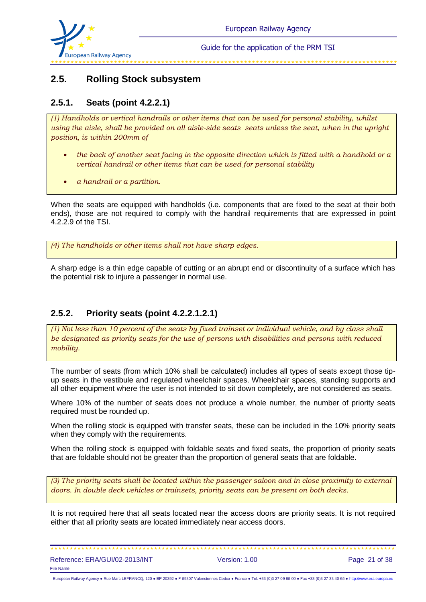

## **2.5. Rolling Stock subsystem**

## **2.5.1. Seats (point 4.2.2.1)**

*(1) Handholds or vertical handrails or other items that can be used for personal stability, whilst using the aisle, shall be provided on all aisle-side seats seats unless the seat, when in the upright position, is within 200mm of*

- *the back of another seat facing in the opposite direction which is fitted with a handhold or a vertical handrail or other items that can be used for personal stability*
- *a handrail or a partition.*

When the seats are equipped with handholds (i.e. components that are fixed to the seat at their both ends), those are not required to comply with the handrail requirements that are expressed in point 4.2.2.9 of the TSI.

*(4) The handholds or other items shall not have sharp edges.* 

A sharp edge is a thin edge capable of cutting or an abrupt end or discontinuity of a surface which has the potential risk to injure a passenger in normal use.

### **2.5.2. Priority seats (point 4.2.2.1.2.1)**

*(1) Not less than 10 percent of the seats by fixed trainset or individual vehicle, and by class shall be designated as priority seats for the use of persons with disabilities and persons with reduced mobility.*

The number of seats (from which 10% shall be calculated) includes all types of seats except those tipup seats in the vestibule and regulated wheelchair spaces. Wheelchair spaces, standing supports and all other equipment where the user is not intended to sit down completely, are not considered as seats.

Where 10% of the number of seats does not produce a whole number, the number of priority seats required must be rounded up.

When the rolling stock is equipped with transfer seats, these can be included in the 10% priority seats when they comply with the requirements.

When the rolling stock is equipped with foldable seats and fixed seats, the proportion of priority seats that are foldable should not be greater than the proportion of general seats that are foldable.

*(3) The priority seats shall be located within the passenger saloon and in close proximity to external doors. In double deck vehicles or trainsets, priority seats can be present on both decks.*

It is not required here that all seats located near the access doors are priority seats. It is not required either that all priority seats are located immediately near access doors.

| Reference: ERA/GUI/02-2013/INT |  |
|--------------------------------|--|
| File Name:                     |  |

European Railway Agency ● Rue Marc LEFRANCQ, 120 ● BP 20392 ● F-59307 Valenciennes Cedex ● France ● Tel. +33 (0)3 27 09 65 00 ● Fax +33 (0)3 27 33 40 65 ● [http://www.era.europa.eu](http://www.era.europa.eu/)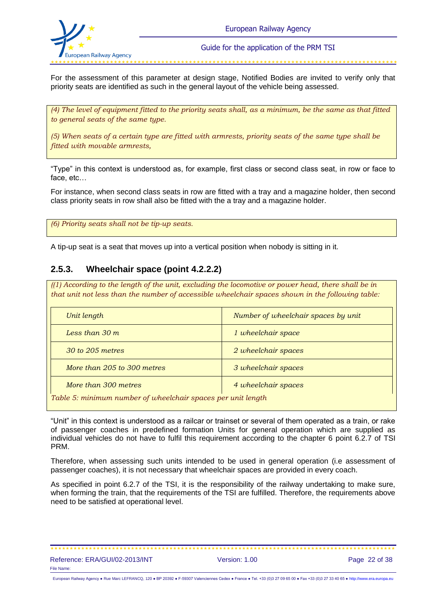

For the assessment of this parameter at design stage, Notified Bodies are invited to verify only that priority seats are identified as such in the general layout of the vehicle being assessed.

*(4) The level of equipment fitted to the priority seats shall, as a minimum, be the same as that fitted to general seats of the same type.*

*(5) When seats of a certain type are fitted with armrests, priority seats of the same type shall be fitted with movable armrests,*

"Type" in this context is understood as, for example, first class or second class seat, in row or face to face, etc…

For instance, when second class seats in row are fitted with a tray and a magazine holder, then second class priority seats in row shall also be fitted with the a tray and a magazine holder.

*(6) Priority seats shall not be tip-up seats.*

A tip-up seat is a seat that moves up into a vertical position when nobody is sitting in it.

### **2.5.3. Wheelchair space (point 4.2.2.2)**

*((1) According to the length of the unit, excluding the locomotive or power head, there shall be in that unit not less than the number of accessible wheelchair spaces shown in the following table:*

| Unit length                                                  | Number of wheelchair spaces by unit |  |
|--------------------------------------------------------------|-------------------------------------|--|
| Less than $30 \, \text{m}$                                   | 1 wheelchair space                  |  |
| 30 to 205 metres                                             | 2 wheelchair spaces                 |  |
| More than 205 to 300 metres                                  | 3 wheelchair spaces                 |  |
| More than 300 metres                                         | 4 wheelchair spaces                 |  |
| Table 5: minimum number of wheelchair spaces per unit length |                                     |  |

"Unit" in this context is understood as a railcar or trainset or several of them operated as a train, or rake of passenger coaches in predefined formation Units for general operation which are supplied as individual vehicles do not have to fulfil this requirement according to the chapter 6 point 6.2.7 of TSI PRM.

Therefore, when assessing such units intended to be used in general operation (i.e assessment of passenger coaches), it is not necessary that wheelchair spaces are provided in every coach.

As specified in point 6.2.7 of the TSI, it is the responsibility of the railway undertaking to make sure, when forming the train, that the requirements of the TSI are fulfilled. Therefore, the requirements above need to be satisfied at operational level.

Reference: ERA/GUI/02-2013/INT Version: 1.00 Page 22 of 38 File Name: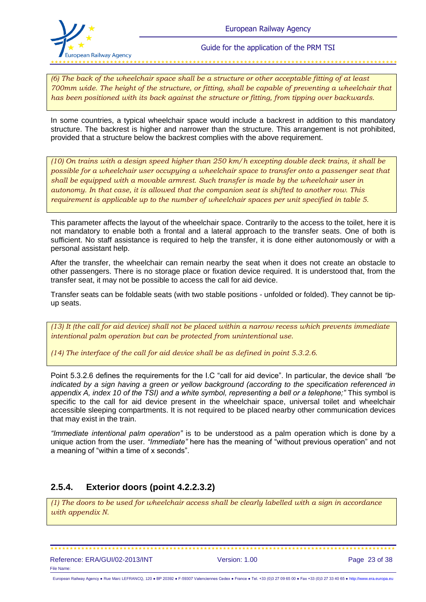

*(6) The back of the wheelchair space shall be a structure or other acceptable fitting of at least 700mm wide. The height of the structure, or fitting, shall be capable of preventing a wheelchair that has been positioned with its back against the structure or fitting, from tipping over backwards.*

In some countries, a typical wheelchair space would include a backrest in addition to this mandatory structure. The backrest is higher and narrower than the structure. This arrangement is not prohibited, provided that a structure below the backrest complies with the above requirement.

*(10) On trains with a design speed higher than 250 km/h excepting double deck trains, it shall be possible for a wheelchair user occupying a wheelchair space to transfer onto a passenger seat that shall be equipped with a movable armrest. Such transfer is made by the wheelchair user in autonomy. In that case, it is allowed that the companion seat is shifted to another row. This requirement is applicable up to the number of wheelchair spaces per unit specified in table 5.* 

This parameter affects the layout of the wheelchair space. Contrarily to the access to the toilet, here it is not mandatory to enable both a frontal and a lateral approach to the transfer seats. One of both is sufficient. No staff assistance is required to help the transfer, it is done either autonomously or with a personal assistant help.

After the transfer, the wheelchair can remain nearby the seat when it does not create an obstacle to other passengers. There is no storage place or fixation device required. It is understood that, from the transfer seat, it may not be possible to access the call for aid device.

Transfer seats can be foldable seats (with two stable positions - unfolded or folded). They cannot be tipup seats.

*(13) It (the call for aid device) shall not be placed within a narrow recess which prevents immediate intentional palm operation but can be protected from unintentional use.*

*(14) The interface of the call for aid device shall be as defined in point 5.3.2.6.*

Point 5.3.2.6 defines the requirements for the I.C "call for aid device". In particular, the device shall *"be indicated by a sign having a green or yellow background (according to the specification referenced in appendix A, index 10 of the TSI) and a white symbol, representing a bell or a telephone;"* This symbol is specific to the call for aid device present in the wheelchair space, universal toilet and wheelchair accessible sleeping compartments. It is not required to be placed nearby other communication devices that may exist in the train.

*"Immediate intentional palm operation"* is to be understood as a palm operation which is done by a unique action from the user. *"Immediate"* here has the meaning of "without previous operation" and not a meaning of "within a time of x seconds".

### **2.5.4. Exterior doors (point 4.2.2.3.2)**

*(1) The doors to be used for wheelchair access shall be clearly labelled with a sign in accordance with appendix N.*

European Railway Agency ● Rue Marc LEFRANCQ, 120 ● BP 20392 ● F-59307 Valenciennes Cedex ● France ● Tel. +33 (0)3 27 09 65 00 ● Fax +33 (0)3 27 33 40 65 ● [http://www.era.europa.eu](http://www.era.europa.eu/)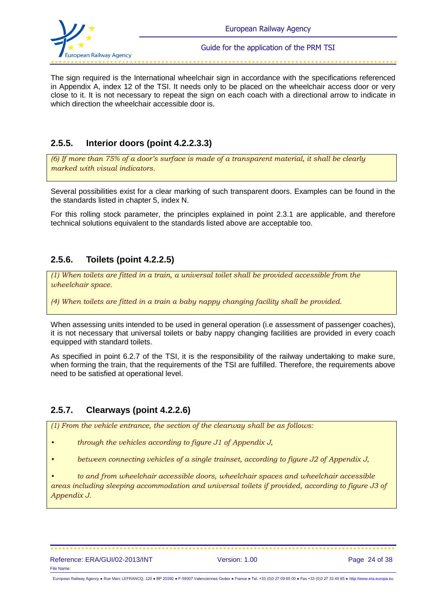

The sign required is the International wheelchair sign in accordance with the specifications referenced in Appendix A, index 12 of the TSI. It needs only to be placed on the wheelchair access door or very close to it. It is not necessary to repeat the sign on each coach with a directional arrow to indicate in which direction the wheelchair accessible door is.

## **2.5.5. Interior doors (point 4.2.2.3.3)**

*(6) If more than 75% of a door's surface is made of a transparent material, it shall be clearly marked with visual indicators.*

Several possibilities exist for a clear marking of such transparent doors. Examples can be found in the the standards listed in chapter 5, index N.

For this rolling stock parameter, the principles explained in point 2.3.1 are applicable, and therefore technical solutions equivalent to the standards listed above are acceptable too.

### **2.5.6. Toilets (point 4.2.2.5)**

*(1) When toilets are fitted in a train, a universal toilet shall be provided accessible from the wheelchair space.*

*(4) When toilets are fitted in a train a baby nappy changing facility shall be provided.* 

When assessing units intended to be used in general operation (i.e assessment of passenger coaches), it is not necessary that universal toilets or baby nappy changing facilities are provided in every coach equipped with standard toilets.

As specified in point 6.2.7 of the TSI, it is the responsibility of the railway undertaking to make sure, when forming the train, that the requirements of the TSI are fulfilled. Therefore, the requirements above need to be satisfied at operational level.

### **2.5.7. Clearways (point 4.2.2.6)**

*(1) From the vehicle entrance, the section of the clearway shall be as follows:*

*• through the vehicles according to figure J1 of Appendix J,* 

*• between connecting vehicles of a single trainset, according to figure J2 of Appendix J,* 

*• to and from wheelchair accessible doors, wheelchair spaces and wheelchair accessible areas including sleeping accommodation and universal toilets if provided, according to figure J3 of Appendix J.*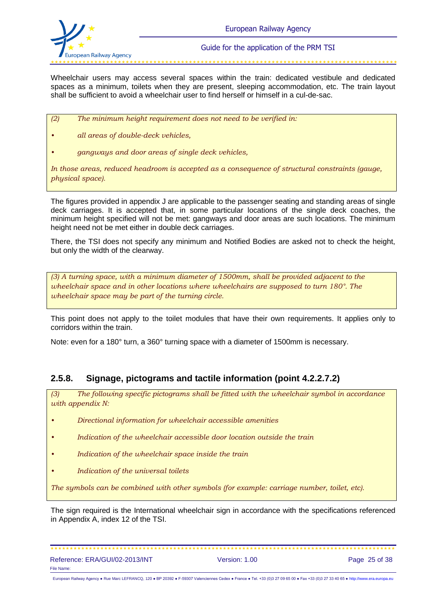

Wheelchair users may access several spaces within the train: dedicated vestibule and dedicated spaces as a minimum, toilets when they are present, sleeping accommodation, etc. The train layout shall be sufficient to avoid a wheelchair user to find herself or himself in a cul-de-sac.

- *(2) The minimum height requirement does not need to be verified in:*
- *• all areas of double-deck vehicles,*
- *• gangways and door areas of single deck vehicles,*

*In those areas, reduced headroom is accepted as a consequence of structural constraints (gauge, physical space).*

The figures provided in appendix J are applicable to the passenger seating and standing areas of single deck carriages. It is accepted that, in some particular locations of the single deck coaches, the minimum height specified will not be met: gangways and door areas are such locations. The minimum height need not be met either in double deck carriages.

There, the TSI does not specify any minimum and Notified Bodies are asked not to check the height, but only the width of the clearway.

*(3) A turning space, with a minimum diameter of 1500mm, shall be provided adjacent to the wheelchair space and in other locations where wheelchairs are supposed to turn 180°. The wheelchair space may be part of the turning circle.* 

This point does not apply to the toilet modules that have their own requirements. It applies only to corridors within the train.

Note: even for a 180° turn, a 360° turning space with a diameter of 1500mm is necessary.

### **2.5.8. Signage, pictograms and tactile information (point 4.2.2.7.2)**

*(3) The following specific pictograms shall be fitted with the wheelchair symbol in accordance with appendix N:*

- *• Directional information for wheelchair accessible amenities*
- *• Indication of the wheelchair accessible door location outside the train*
- *• Indication of the wheelchair space inside the train*
- *• Indication of the universal toilets*

*The symbols can be combined with other symbols (for example: carriage number, toilet, etc).*

The sign required is the International wheelchair sign in accordance with the specifications referenced in Appendix A, index 12 of the TSI.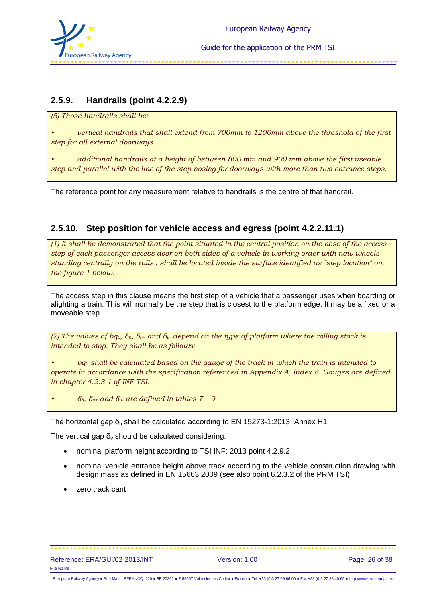

## **2.5.9. Handrails (point 4.2.2.9)**

*(5) Those handrails shall be:*

*• vertical handrails that shall extend from 700mm to 1200mm above the threshold of the first step for all external doorways.*

*• additional handrails at a height of between 800 mm and 900 mm above the first useable step and parallel with the line of the step nosing for doorways with more than two entrance steps.* 

The reference point for any measurement relative to handrails is the centre of that handrail.

## **2.5.10. Step position for vehicle access and egress (point 4.2.2.11.1)**

*(1) It shall be demonstrated that the point situated in the central position on the nose of the access step of each passenger access door on both sides of a vehicle in working order with new wheels standing centrally on the rails , shall be located inside the surface identified as "step location" on the figure 1 below.* 

The access step in this clause means the first step of a vehicle that a passenger uses when boarding or alighting a train. This will normally be the step that is closest to the platform edge. It may be a fixed or a moveable step.

*(2) The values of bq0, δh, δv+ and δv- depend on the type of platform where the rolling stock is intended to stop. They shall be as follows:*

*• bq<sup>0</sup> shall be calculated based on the gauge of the track in which the train is intended to operate in accordance with the specification referenced in Appendix A, index 8. Gauges are defined in chapter 4.2.3.1 of INF TSI.*

*• δh, δv+ and δv- are defined in tables 7 – 9.*

The horizontal gap  $\delta_h$  shall be calculated according to EN 15273-1:2013, Annex H1

The vertical gap  $\delta_y$  should be calculated considering:

- nominal platform height according to TSI INF: 2013 point 4.2.9.2
- nominal vehicle entrance height above track according to the vehicle construction drawing with design mass as defined in EN 15663:2009 (see also point 6.2.3.2 of the PRM TSI)
- zero track cant

European Railway Agency ● Rue Marc LEFRANCQ, 120 ● BP 20392 ● F-59307 Valenciennes Cedex ● France ● Tel. +33 (0)3 27 09 65 00 ● Fax +33 (0)3 27 33 40 65 ● [http://www.era.europa.eu](http://www.era.europa.eu/)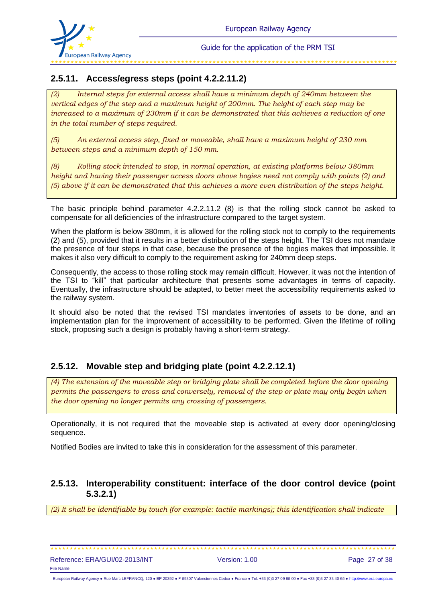

## **2.5.11. Access/egress steps (point 4.2.2.11.2)**

*(2) Internal steps for external access shall have a minimum depth of 240mm between the vertical edges of the step and a maximum height of 200mm. The height of each step may be increased to a maximum of 230mm if it can be demonstrated that this achieves a reduction of one in the total number of steps required.* 

*(5) An external access step, fixed or moveable, shall have a maximum height of 230 mm between steps and a minimum depth of 150 mm.* 

*(8) Rolling stock intended to stop, in normal operation, at existing platforms below 380mm height and having their passenger access doors above bogies need not comply with points (2) and (5) above if it can be demonstrated that this achieves a more even distribution of the steps height.*

The basic principle behind parameter 4.2.2.11.2 (8) is that the rolling stock cannot be asked to compensate for all deficiencies of the infrastructure compared to the target system.

When the platform is below 380mm, it is allowed for the rolling stock not to comply to the requirements (2) and (5), provided that it results in a better distribution of the steps height. The TSI does not mandate the presence of four steps in that case, because the presence of the bogies makes that impossible. It makes it also very difficult to comply to the requirement asking for 240mm deep steps.

Consequently, the access to those rolling stock may remain difficult. However, it was not the intention of the TSI to "kill" that particular architecture that presents some advantages in terms of capacity. Eventually, the infrastructure should be adapted, to better meet the accessibility requirements asked to the railway system.

It should also be noted that the revised TSI mandates inventories of assets to be done, and an implementation plan for the improvement of accessibility to be performed. Given the lifetime of rolling stock, proposing such a design is probably having a short-term strategy.

### **2.5.12. Movable step and bridging plate (point 4.2.2.12.1)**

*(4) The extension of the moveable step or bridging plate shall be completed before the door opening permits the passengers to cross and conversely, removal of the step or plate may only begin when the door opening no longer permits any crossing of passengers.* 

Operationally, it is not required that the moveable step is activated at every door opening/closing sequence.

Notified Bodies are invited to take this in consideration for the assessment of this parameter.

### **2.5.13. Interoperability constituent: interface of the door control device (point 5.3.2.1)**

*(2) It shall be identifiable by touch (for example: tactile markings); this identification shall indicate*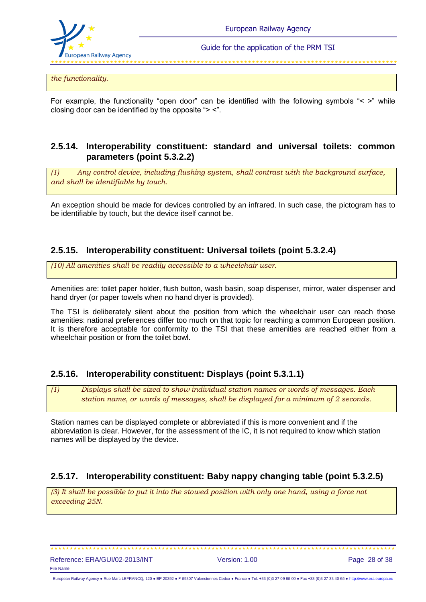

*the functionality.*

For example, the functionality "open door" can be identified with the following symbols "< >" while closing door can be identified by the opposite "> <".

### **2.5.14. Interoperability constituent: standard and universal toilets: common parameters (point 5.3.2.2)**

*(1) Any control device, including flushing system, shall contrast with the background surface, and shall be identifiable by touch.*

An exception should be made for devices controlled by an infrared. In such case, the pictogram has to be identifiable by touch, but the device itself cannot be.

### **2.5.15. Interoperability constituent: Universal toilets (point 5.3.2.4)**

*(10) All amenities shall be readily accessible to a wheelchair user.* 

Amenities are: toilet paper holder, flush button, wash basin, soap dispenser, mirror, water dispenser and hand dryer (or paper towels when no hand dryer is provided).

The TSI is deliberately silent about the position from which the wheelchair user can reach those amenities: national preferences differ too much on that topic for reaching a common European position. It is therefore acceptable for conformity to the TSI that these amenities are reached either from a wheelchair position or from the toilet bowl.

### **2.5.16. Interoperability constituent: Displays (point 5.3.1.1)**

*(1) Displays shall be sized to show individual station names or words of messages. Each station name, or words of messages, shall be displayed for a minimum of 2 seconds.*

Station names can be displayed complete or abbreviated if this is more convenient and if the abbreviation is clear. However, for the assessment of the IC, it is not required to know which station names will be displayed by the device.

### **2.5.17. Interoperability constituent: Baby nappy changing table (point 5.3.2.5)**

*(3) It shall be possible to put it into the stowed position with only one hand, using a force not exceeding 25N.*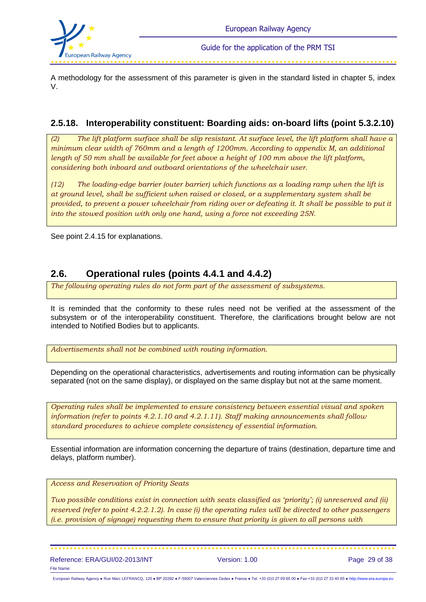

A methodology for the assessment of this parameter is given in the standard listed in chapter 5, index V.

## **2.5.18. Interoperability constituent: Boarding aids: on-board lifts (point 5.3.2.10)**

*(2) The lift platform surface shall be slip resistant. At surface level, the lift platform shall have a minimum clear width of 760mm and a length of 1200mm. According to appendix M, an additional length of 50 mm shall be available for feet above a height of 100 mm above the lift platform, considering both inboard and outboard orientations of the wheelchair user.*

*(12) The loading-edge barrier (outer barrier) which functions as a loading ramp when the lift is at ground level, shall be sufficient when raised or closed, or a supplementary system shall be provided, to prevent a power wheelchair from riding over or defeating it. It shall be possible to put it into the stowed position with only one hand, using a force not exceeding 25N.*

See point 2.4.15 for explanations.

## **2.6. Operational rules (points 4.4.1 and 4.4.2)**

*The following operating rules do not form part of the assessment of subsystems.*

It is reminded that the conformity to these rules need not be verified at the assessment of the subsystem or of the interoperability constituent. Therefore, the clarifications brought below are not intended to Notified Bodies but to applicants.

*Advertisements shall not be combined with routing information.*

Depending on the operational characteristics, advertisements and routing information can be physically separated (not on the same display), or displayed on the same display but not at the same moment.

*Operating rules shall be implemented to ensure consistency between essential visual and spoken information (refer to points 4.2.1.10 and 4.2.1.11). Staff making announcements shall follow standard procedures to achieve complete consistency of essential information.*

Essential information are information concerning the departure of trains (destination, departure time and delays, platform number).

*Access and Reservation of Priority Seats*

*Two possible conditions exist in connection with seats classified as 'priority'; (i) unreserved and (ii) reserved (refer to point 4.2.2.1.2). In case (i) the operating rules will be directed to other passengers (i.e. provision of signage) requesting them to ensure that priority is given to all persons with* 

Reference: ERA/GUI/02-2013/INT Version: 1.00 Page 29 of 38 File Name:

European Railway Agency ● Rue Marc LEFRANCQ, 120 ● BP 20392 ● F-59307 Valenciennes Cedex ● France ● Tel. +33 (0)3 27 09 65 00 ● Fax +33 (0)3 27 33 40 65 ● [http://www.era.europa.eu](http://www.era.europa.eu/)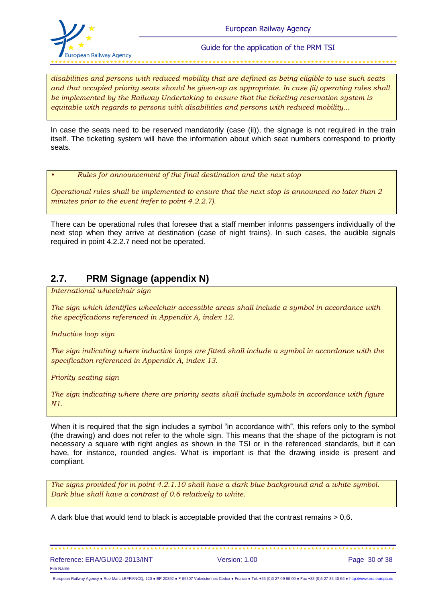

*disabilities and persons with reduced mobility that are defined as being eligible to use such seats and that occupied priority seats should be given-up as appropriate. In case (ii) operating rules shall be implemented by the Railway Undertaking to ensure that the ticketing reservation system is equitable with regards to persons with disabilities and persons with reduced mobility...* 

In case the seats need to be reserved mandatorily (case (ii)), the signage is not required in the train itself. The ticketing system will have the information about which seat numbers correspond to priority seats.

*• Rules for announcement of the final destination and the next stop* 

*Operational rules shall be implemented to ensure that the next stop is announced no later than 2 minutes prior to the event (refer to point 4.2.2.7).* 

There can be operational rules that foresee that a staff member informs passengers individually of the next stop when they arrive at destination (case of night trains). In such cases, the audible signals required in point 4.2.2.7 need not be operated.

## **2.7. PRM Signage (appendix N)**

*International wheelchair sign*

*The sign which identifies wheelchair accessible areas shall include a symbol in accordance with the specifications referenced in Appendix A, index 12.* 

*Inductive loop sign*

*The sign indicating where inductive loops are fitted shall include a symbol in accordance with the specification referenced in Appendix A, index 13.* 

*Priority seating sign*

*The sign indicating where there are priority seats shall include symbols in accordance with figure N1.* 

When it is required that the sign includes a symbol "in accordance with", this refers only to the symbol (the drawing) and does not refer to the whole sign. This means that the shape of the pictogram is not necessary a square with right angles as shown in the TSI or in the referenced standards, but it can have, for instance, rounded angles. What is important is that the drawing inside is present and compliant.

*The signs provided for in point 4.2.1.10 shall have a dark blue background and a white symbol. Dark blue shall have a contrast of 0.6 relatively to white.*

A dark blue that would tend to black is acceptable provided that the contrast remains > 0,6.

| Reference: ERA/GUI/02-2013/INT | Version: 1.00 | Page 30 of 38 |
|--------------------------------|---------------|---------------|
| File Name:                     |               |               |

European Railway Agency ● Rue Marc LEFRANCQ, 120 ● BP 20392 ● F-59307 Valenciennes Cedex ● France ● Tel. +33 (0)3 27 09 65 00 ● Fax +33 (0)3 27 33 40 65 ● [http://www.era.europa.eu](http://www.era.europa.eu/)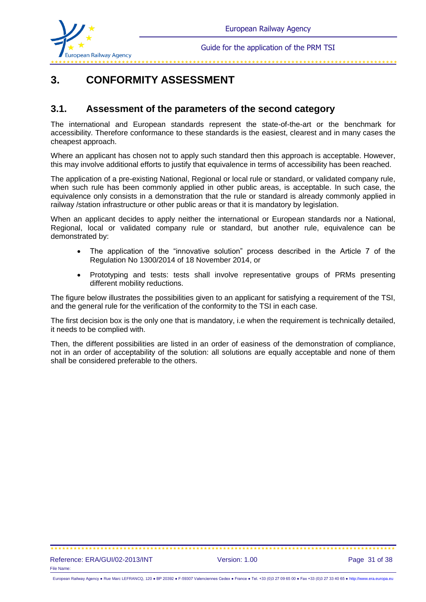

فللمراجف المقارضة المقارضة المقارضة المقارضة المقارضة المقارضة المقارضة المقارضة المقارضة المقارضة المقارضة المقار

# **3. CONFORMITY ASSESSMENT**

### **3.1. Assessment of the parameters of the second category**

The international and European standards represent the state-of-the-art or the benchmark for accessibility. Therefore conformance to these standards is the easiest, clearest and in many cases the cheapest approach.

Where an applicant has chosen not to apply such standard then this approach is acceptable. However, this may involve additional efforts to justify that equivalence in terms of accessibility has been reached.

The application of a pre-existing National, Regional or local rule or standard, or validated company rule, when such rule has been commonly applied in other public areas, is acceptable. In such case, the equivalence only consists in a demonstration that the rule or standard is already commonly applied in railway /station infrastructure or other public areas or that it is mandatory by legislation.

When an applicant decides to apply neither the international or European standards nor a National, Regional, local or validated company rule or standard, but another rule, equivalence can be demonstrated by:

- The application of the "innovative solution" process described in the Article 7 of the Regulation No 1300/2014 of 18 November 2014, or
- Prototyping and tests: tests shall involve representative groups of PRMs presenting different mobility reductions.

The figure below illustrates the possibilities given to an applicant for satisfying a requirement of the TSI, and the general rule for the verification of the conformity to the TSI in each case.

The first decision box is the only one that is mandatory, i.e when the requirement is technically detailed, it needs to be complied with.

Then, the different possibilities are listed in an order of easiness of the demonstration of compliance, not in an order of acceptability of the solution: all solutions are equally acceptable and none of them shall be considered preferable to the others.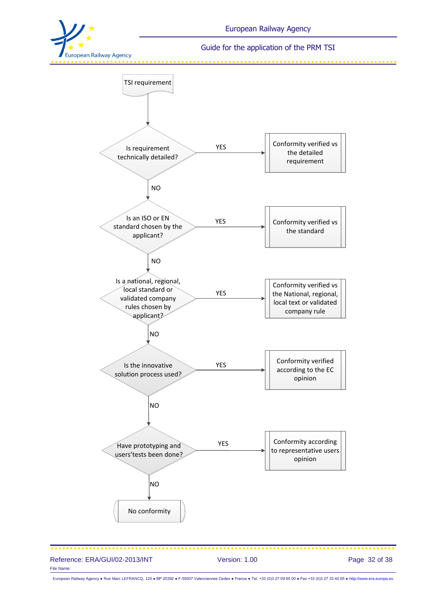

وللدامية والمتاريف والمداولة والمداولة والمداولة والمداولة والمداولة والمداولة والمداولة والمداولة والمداولة والمداولة



Reference: ERA/GUI/02-2013/INT Version: 1.00 Page 32 of 38 File Name:

European Railway Agency ● Rue Marc LEFRANCQ, 120 ● BP 20392 ● F-59307 Valenciennes Cedex ● France ● Tel. +33 (0)3 27 09 65 00 ● Fax +33 (0)3 27 33 40 65 ● [http://www.era.europa.eu](http://www.era.europa.eu/)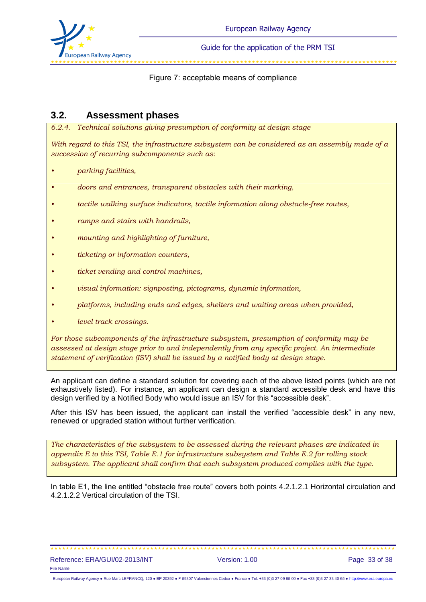

#### 

#### Figure 7: acceptable means of compliance

### **3.2. Assessment phases**

*6.2.4. Technical solutions giving presumption of conformity at design stage*

*With regard to this TSI, the infrastructure subsystem can be considered as an assembly made of a succession of recurring subcomponents such as:*

- *• parking facilities,*
- *• doors and entrances, transparent obstacles with their marking,*
- *• tactile walking surface indicators, tactile information along obstacle-free routes,*
- *• ramps and stairs with handrails,*
- *• mounting and highlighting of furniture,*
- *• ticketing or information counters,*
- *• ticket vending and control machines,*
- *• visual information: signposting, pictograms, dynamic information,*
- *• platforms, including ends and edges, shelters and waiting areas when provided,*
- *• level track crossings.*

*For those subcomponents of the infrastructure subsystem, presumption of conformity may be assessed at design stage prior to and independently from any specific project. An intermediate statement of verification (ISV) shall be issued by a notified body at design stage.* 

An applicant can define a standard solution for covering each of the above listed points (which are not exhaustively listed). For instance, an applicant can design a standard accessible desk and have this design verified by a Notified Body who would issue an ISV for this "accessible desk".

After this ISV has been issued, the applicant can install the verified "accessible desk" in any new, renewed or upgraded station without further verification.

*The characteristics of the subsystem to be assessed during the relevant phases are indicated in appendix E to this TSI, Table E.1 for infrastructure subsystem and Table E.2 for rolling stock subsystem. The applicant shall confirm that each subsystem produced complies with the type.*

In table E1, the line entitled "obstacle free route" covers both points 4.2.1.2.1 Horizontal circulation and 4.2.1.2.2 Vertical circulation of the TSI.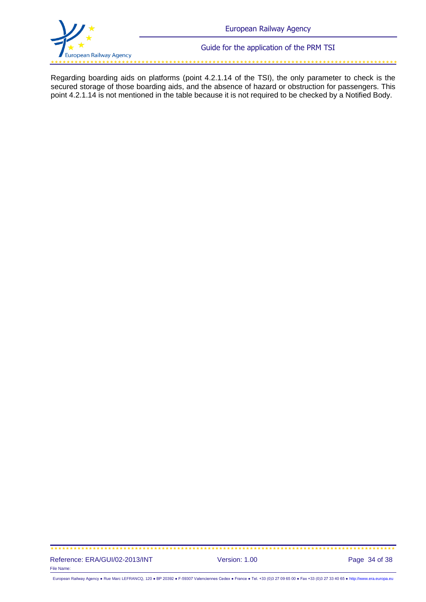

وللمستوقف والمتعاونة والمتعاونة والمتعاونة والمتعاونة والمتعاونة والمتعاونة والمتعاونة والمتعاونة والمتعاونة والمتعاونة

Regarding boarding aids on platforms (point 4.2.1.14 of the TSI), the only parameter to check is the secured storage of those boarding aids, and the absence of hazard or obstruction for passengers. This point 4.2.1.14 is not mentioned in the table because it is not required to be checked by a Notified Body.

#### Reference: ERA/GUI/02-2013/INT Version: 1.00 Page 34 of 38 File Name:

European Railway Agency ● Rue Marc LEFRANCQ, 120 ● BP 20392 ● F-59307 Valenciennes Cedex ● France ● Tel. +33 (0)3 27 09 65 00 ● Fax +33 (0)3 27 33 40 65 ● [http://www.era.europa.eu](http://www.era.europa.eu/)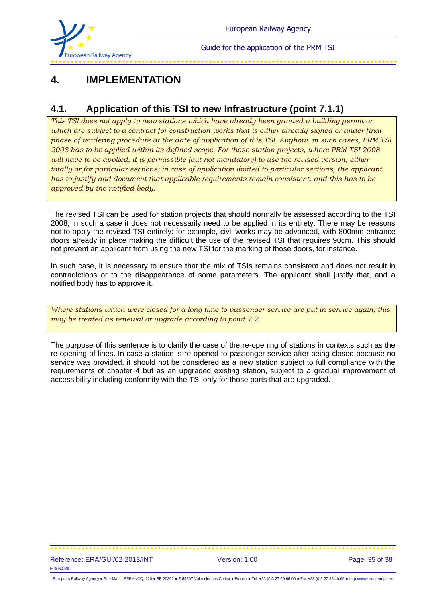

# **4. IMPLEMENTATION**

## **4.1. Application of this TSI to new Infrastructure (point 7.1.1)**

*This TSI does not apply to new stations which have already been granted a building permit or which are subject to a contract for construction works that is either already signed or under final phase of tendering procedure at the date of application of this TSI. Anyhow, in such cases, PRM TSI 2008 has to be applied within its defined scope. For those station projects, where PRM TSI 2008 will have to be applied, it is permissible (but not mandatory) to use the revised version, either totally or for particular sections; in case of application limited to particular sections, the applicant has to justify and document that applicable requirements remain consistent, and this has to be approved by the notified body.*

The revised TSI can be used for station projects that should normally be assessed according to the TSI 2008; in such a case it does not necessarily need to be applied in its entirety. There may be reasons not to apply the revised TSI entirely: for example, civil works may be advanced, with 800mm entrance doors already in place making the difficult the use of the revised TSI that requires 90cm. This should not prevent an applicant from using the new TSI for the marking of those doors, for instance.

In such case, it is necessary to ensure that the mix of TSIs remains consistent and does not result in contradictions or to the disappearance of some parameters. The applicant shall justify that, and a notified body has to approve it.

*Where stations which were closed for a long time to passenger service are put in service again, this may be treated as renewal or upgrade according to point 7.2.*

The purpose of this sentence is to clarify the case of the re-opening of stations in contexts such as the re-opening of lines. In case a station is re-opened to passenger service after being closed because no service was provided, it should not be considered as a new station subject to full compliance with the requirements of chapter 4 but as an upgraded existing station, subject to a gradual improvement of accessibility including conformity with the TSI only for those parts that are upgraded.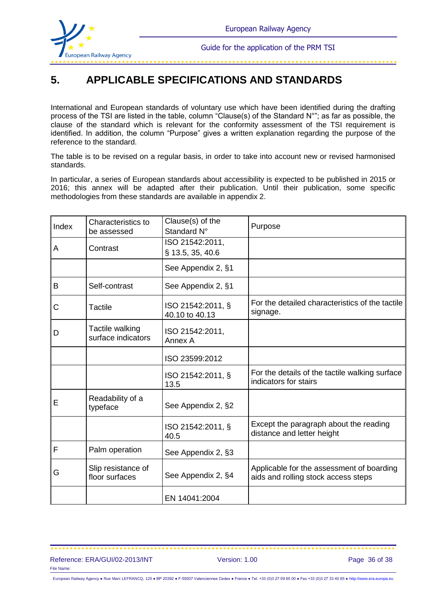

# **5. APPLICABLE SPECIFICATIONS AND STANDARDS**

International and European standards of voluntary use which have been identified during the drafting process of the TSI are listed in the table, column "Clause(s) of the Standard N°"; as far as possible, the clause of the standard which is relevant for the conformity assessment of the TSI requirement is identified. In addition, the column "Purpose" gives a written explanation regarding the purpose of the reference to the standard.

The table is to be revised on a regular basis, in order to take into account new or revised harmonised standards.

In particular, a series of European standards about accessibility is expected to be published in 2015 or 2016; this annex will be adapted after their publication. Until their publication, some specific methodologies from these standards are available in appendix 2.

| Index | Characteristics to<br>be assessed     | Clause(s) of the<br>Standard N°     | Purpose                                                                          |
|-------|---------------------------------------|-------------------------------------|----------------------------------------------------------------------------------|
| А     | Contrast                              | ISO 21542:2011,<br>§ 13.5, 35, 40.6 |                                                                                  |
|       |                                       | See Appendix 2, §1                  |                                                                                  |
| B     | Self-contrast                         | See Appendix 2, §1                  |                                                                                  |
| С     | Tactile                               | ISO 21542:2011, §<br>40.10 to 40.13 | For the detailed characteristics of the tactile<br>signage.                      |
| D     | Tactile walking<br>surface indicators | ISO 21542:2011,<br>Annex A          |                                                                                  |
|       |                                       | ISO 23599:2012                      |                                                                                  |
|       |                                       | ISO 21542:2011, §<br>13.5           | For the details of the tactile walking surface<br>indicators for stairs          |
| E     | Readability of a<br>typeface          | See Appendix 2, §2                  |                                                                                  |
|       |                                       | ISO 21542:2011, §<br>40.5           | Except the paragraph about the reading<br>distance and letter height             |
| F     | Palm operation                        | See Appendix 2, §3                  |                                                                                  |
| G     | Slip resistance of<br>floor surfaces  | See Appendix 2, §4                  | Applicable for the assessment of boarding<br>aids and rolling stock access steps |
|       |                                       | EN 14041:2004                       |                                                                                  |

#### Reference: ERA/GUI/02-2013/INT Version: 1.00 Page 36 of 38 File Name: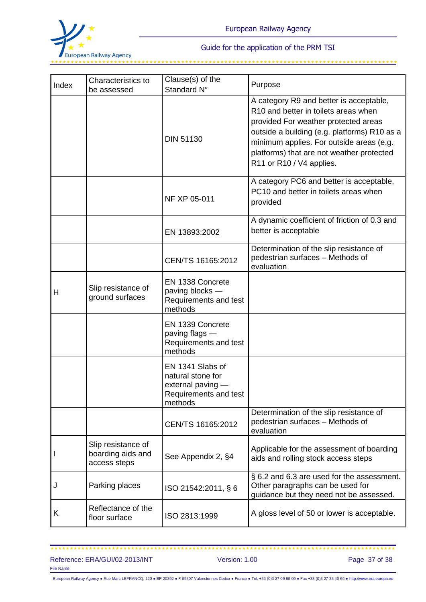

|       | Characteristics to                                      | Clause(s) of the                                                                               |                                                                                                                                                                                                                                                                                              |
|-------|---------------------------------------------------------|------------------------------------------------------------------------------------------------|----------------------------------------------------------------------------------------------------------------------------------------------------------------------------------------------------------------------------------------------------------------------------------------------|
| Index | be assessed                                             | Standard N°                                                                                    | Purpose                                                                                                                                                                                                                                                                                      |
|       |                                                         | <b>DIN 51130</b>                                                                               | A category R9 and better is acceptable,<br>R10 and better in toilets areas when<br>provided For weather protected areas<br>outside a building (e.g. platforms) R10 as a<br>minimum applies. For outside areas (e.g.<br>platforms) that are not weather protected<br>R11 or R10 / V4 applies. |
|       |                                                         | NF XP 05-011                                                                                   | A category PC6 and better is acceptable,<br>PC10 and better in toilets areas when<br>provided                                                                                                                                                                                                |
|       |                                                         | EN 13893:2002                                                                                  | A dynamic coefficient of friction of 0.3 and<br>better is acceptable                                                                                                                                                                                                                         |
|       |                                                         | CEN/TS 16165:2012                                                                              | Determination of the slip resistance of<br>pedestrian surfaces - Methods of<br>evaluation                                                                                                                                                                                                    |
| н     | Slip resistance of<br>ground surfaces                   | EN 1338 Concrete<br>paving blocks -<br>Requirements and test<br>methods                        |                                                                                                                                                                                                                                                                                              |
|       |                                                         | EN 1339 Concrete<br>paving flags -<br>Requirements and test<br>methods                         |                                                                                                                                                                                                                                                                                              |
|       |                                                         | EN 1341 Slabs of<br>natural stone for<br>external paving -<br>Requirements and test<br>methods |                                                                                                                                                                                                                                                                                              |
|       |                                                         | CEN/TS 16165:2012                                                                              | Determination of the slip resistance of<br>pedestrian surfaces - Methods of<br>evaluation                                                                                                                                                                                                    |
|       | Slip resistance of<br>boarding aids and<br>access steps | See Appendix 2, §4                                                                             | Applicable for the assessment of boarding<br>aids and rolling stock access steps                                                                                                                                                                                                             |
| J     | Parking places                                          | ISO 21542:2011, § 6                                                                            | § 6.2 and 6.3 are used for the assessment.<br>Other paragraphs can be used for<br>guidance but they need not be assessed.                                                                                                                                                                    |
| Κ     | Reflectance of the<br>floor surface                     | ISO 2813:1999                                                                                  | A gloss level of 50 or lower is acceptable.                                                                                                                                                                                                                                                  |

### 

Reference: ERA/GUI/02-2013/INT Version: 1.00 Page 37 of 38 File Name:

European Railway Agency ● Rue Marc LEFRANCQ, 120 ● BP 20392 ● F-59307 Valenciennes Cedex ● France ● Tel. +33 (0)3 27 09 65 00 ● Fax +33 (0)3 27 33 40 65 ● [http://www.era.europa.eu](http://www.era.europa.eu/)